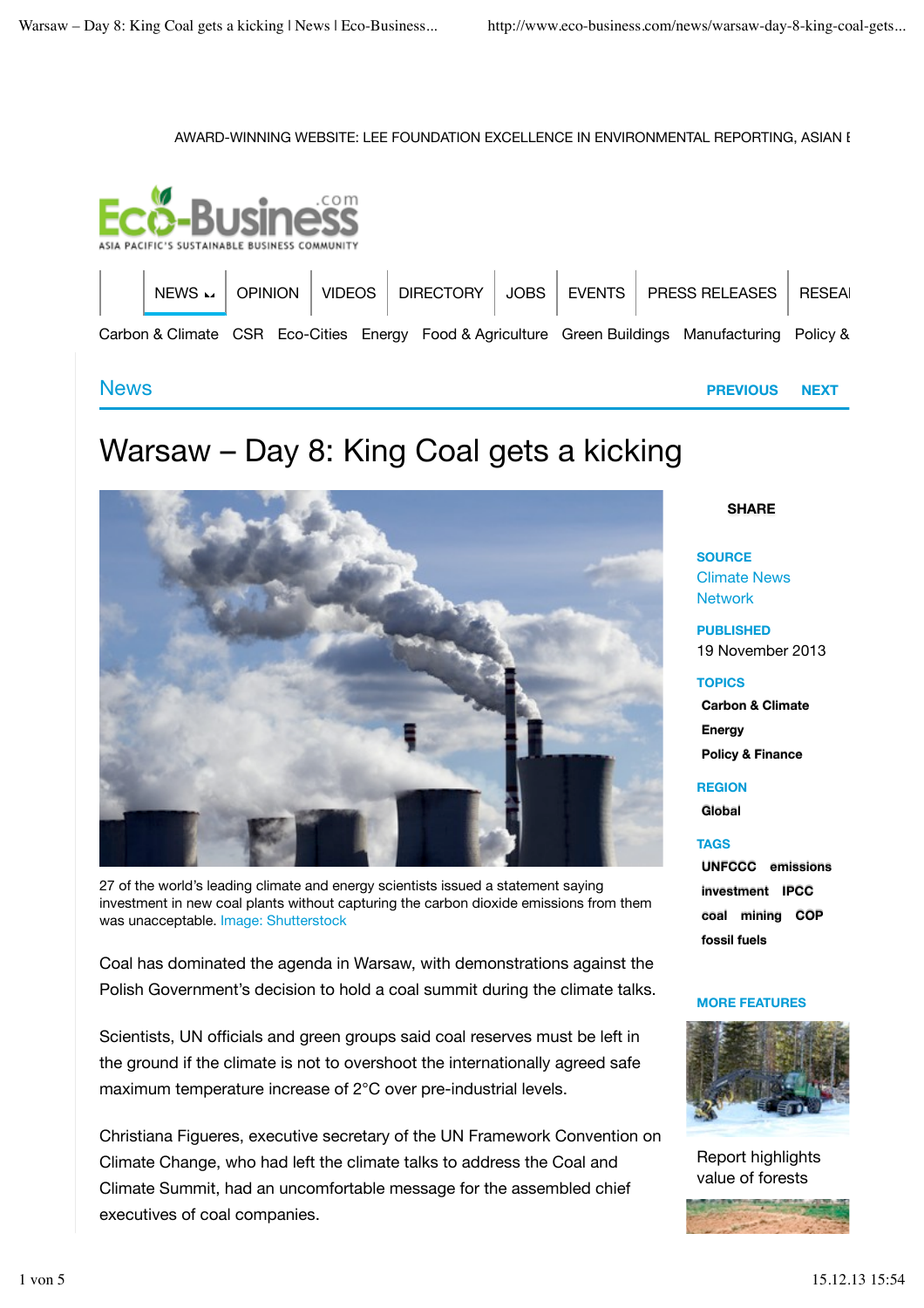### AWARD-WINNING WEBSITE: LEE FOUNDATION EXCELLENCE IN ENVIRONMENTAL REPORTING, ASIAN I



# Warsaw – Day 8: King Coal gets a kicking



27 of the world's leading climate and energy scientists issued a statement saying investment in new coal plants without capturing the carbon dioxide emissions from them was unacceptable. Image: Shutterstock

Coal has dominated the agenda in Warsaw, with demonstrations against the Polish Government's decision to hold a coal summit during the climate talks.

Scientists, UN officials and green groups said coal reserves must be left in the ground if the climate is not to overshoot the internationally agreed safe maximum temperature increase of 2°C over pre-industrial levels.

Christiana Figueres, executive secretary of the UN Framework Convention on Climate Change, who had left the climate talks to address the Coal and Climate Summit, had an uncomfortable message for the assembled chief executives of coal companies.

### **SHARE**

**SOURCE** Climate News Network

**PUBLISHED** 19 November 2013

### **TOPICS**

**Carbon & Climate Energy Policy & Finance**

**REGION Global**

**TAGS UNFCCC emissions investment IPCC coal mining COP**

### **MORE FEATURES**

**fossil fuels**



Report highlights value of forests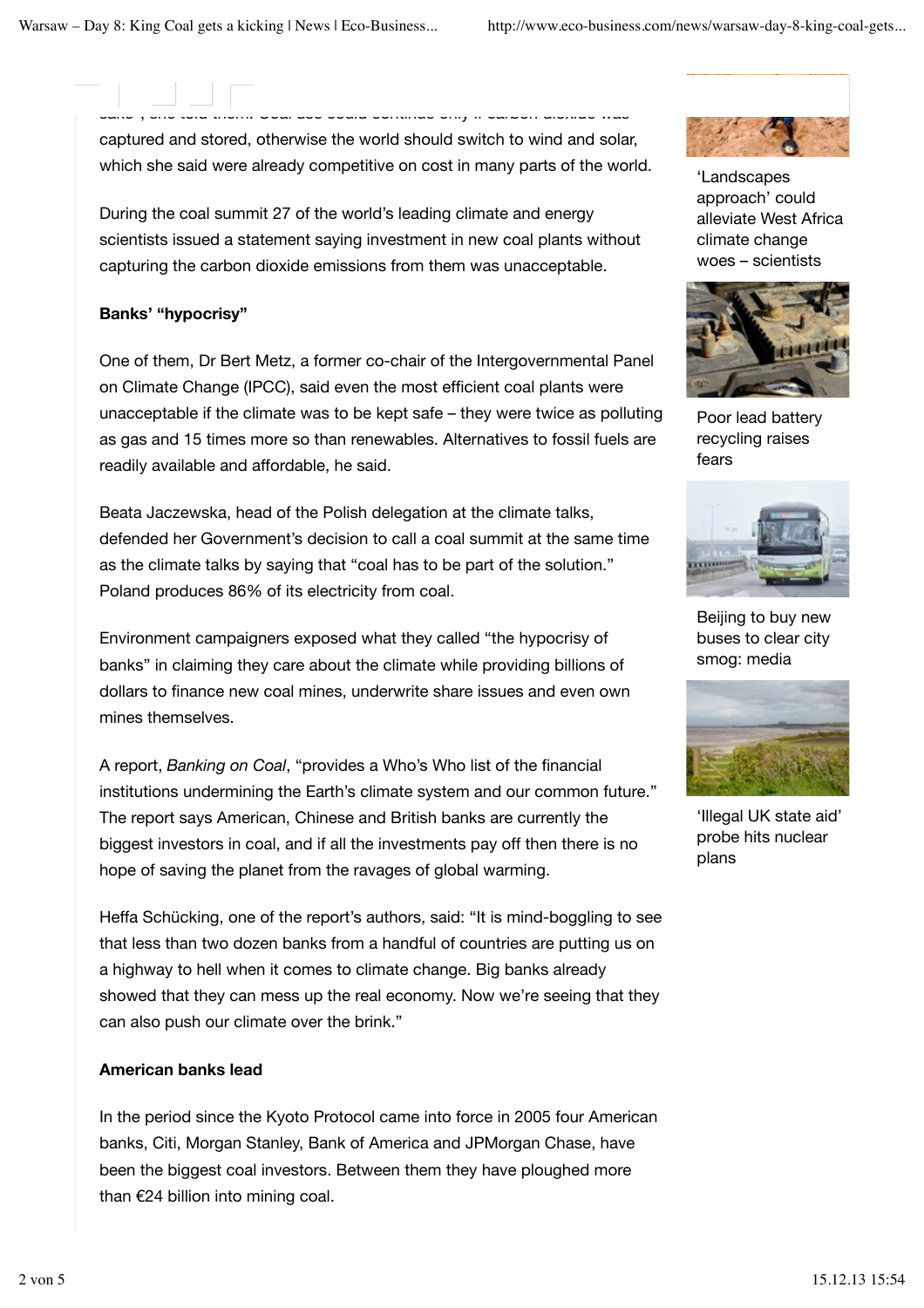captured and stored, otherwise the world should switch to wind and solar, which she said were already competitive on cost in many parts of the world.

sake", she told them. Coal use could continue only if carbon dioxide was

During the coal summit 27 of the world's leading climate and energy scientists issued a statement saying investment in new coal plants without capturing the carbon dioxide emissions from them was unacceptable.

# **Banks' "hypocrisy"**

One of them, Dr Bert Metz, a former co-chair of the Intergovernmental Panel on Climate Change (IPCC), said even the most efficient coal plants were unacceptable if the climate was to be kept safe – they were twice as polluting as gas and 15 times more so than renewables. Alternatives to fossil fuels are readily available and affordable, he said.

Beata Jaczewska, head of the Polish delegation at the climate talks, defended her Government's decision to call a coal summit at the same time as the climate talks by saying that "coal has to be part of the solution." Poland produces 86% of its electricity from coal.

Environment campaigners exposed what they called "the hypocrisy of banks" in claiming they care about the climate while providing billions of dollars to finance new coal mines, underwrite share issues and even own mines themselves.

A report, *Banking on Coal*, "provides a Who's Who list of the financial institutions undermining the Earth's climate system and our common future." The report says American, Chinese and British banks are currently the biggest investors in coal, and if all the investments pay off then there is no hope of saving the planet from the ravages of global warming.

Heffa Schücking, one of the report's authors, said: "It is mind-boggling to see that less than two dozen banks from a handful of countries are putting us on a highway to hell when it comes to climate change. Big banks already showed that they can mess up the real economy. Now we're seeing that they can also push our climate over the brink."

## **American banks lead**

In the period since the Kyoto Protocol came into force in 2005 four American banks, Citi, Morgan Stanley, Bank of America and JPMorgan Chase, have been the biggest coal investors. Between them they have ploughed more than  $E$ 24 billion into mining coal.



'Landscapes approach' could alleviate West Africa climate change woes – scientists



Poor lead battery recycling raises fears



Beijing to buy new buses to clear city smog: media



'Illegal UK state aid' probe hits nuclear plans